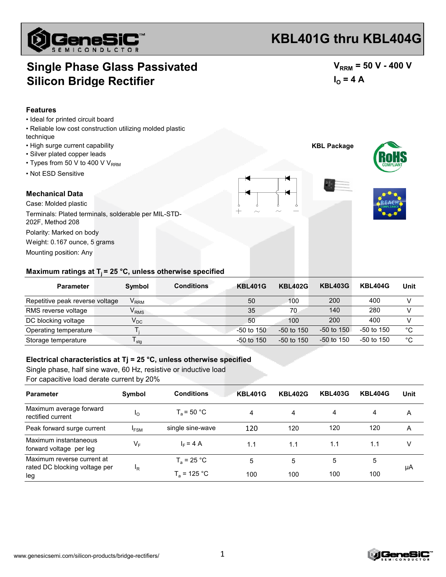

# **KBL401G thru KBL404G**

### **Single Phase Glass Passivated Silicon Bridge Rectifier**

 $V_{RRM}$  = 50 V - 400 V  $I_{\Omega} = 4 A$ 

#### **Features**

- Ideal for printed circuit board
- Reliable low cost construction utilizing molded plastic technique
- High surge current capability
- Silver plated copper leads
- $\cdot$  Types from 50 V to 400 V V<sub>RRM</sub>
- Not ESD Sensitive

#### **Mechanical Data**

Case: Molded plastic Polarity: Marked on body Weight: 0.167 ounce, 5 grams Mounting position: Any Terminals: Plated terminals, solderable per MIL-STD-202F, Method 208







#### Maximum ratings at T<sub>i</sub> = 25 °C, unless otherwise specified

| <b>Parameter</b>                | Symbol                      | <b>Conditions</b> | <b>KBL401G</b> | <b>KBL402G</b> | <b>KBL403G</b> | <b>KBL404G</b> | Unit        |
|---------------------------------|-----------------------------|-------------------|----------------|----------------|----------------|----------------|-------------|
| Repetitive peak reverse voltage | $\mathsf{V}_{\mathsf{RRM}}$ |                   | 50             | 100            | 200            | 400            |             |
| RMS reverse voltage             | $\mathsf{V}_{\mathsf{RMS}}$ |                   | 35             | 70             | 140            | 280            |             |
| DC blocking voltage             | $V_{DC}$                    |                   | 50             | 100            | 200            | 400            |             |
| Operating temperature           |                             |                   | $-50$ to 150   | $-50$ to 150   | $-50$ to 150   | $-50$ to 150   | $^{\circ}C$ |
| Storage temperature             | l stq                       |                   | $-50$ to 150   | $-50$ to 150   | $-50$ to 150   | $-50$ to 150   | °C          |

#### **Electrical characteristics at Tj = 25 °C, unless otherwise specified**

Single phase, half sine wave, 60 Hz, resistive or inductive load For capacitive load derate current by 20%

| <b>Parameter</b>                                 | Symbol           | <b>Conditions</b>    | KBL401G | <b>KBL402G</b> | <b>KBL403G</b> | <b>KBL404G</b> | Unit |
|--------------------------------------------------|------------------|----------------------|---------|----------------|----------------|----------------|------|
| Maximum average forward<br>rectified current     | <sup>1</sup> O   | $T_{\circ}$ = 50 °C. | 4       | 4              | 4              | 4              | A    |
| Peak forward surge current                       | <sup>I</sup> FSM | single sine-wave     | 120     | 120            | 120            | 120            | A    |
| Maximum instantaneous<br>forward voltage per leg | $V_{\mathsf{F}}$ | $I_F = 4 A$          | 1.1     | 1.1            | 1.1            | 1.1            | v    |
| Maximum reverse current at                       | <sup>I</sup> R   | $T_a = 25 °C$        | 5       | 5              | 5              | 5              | μA   |
| rated DC blocking voltage per<br>leg             |                  | $T_a$ = 125 °C       | 100     | 100            | 100            | 100            |      |

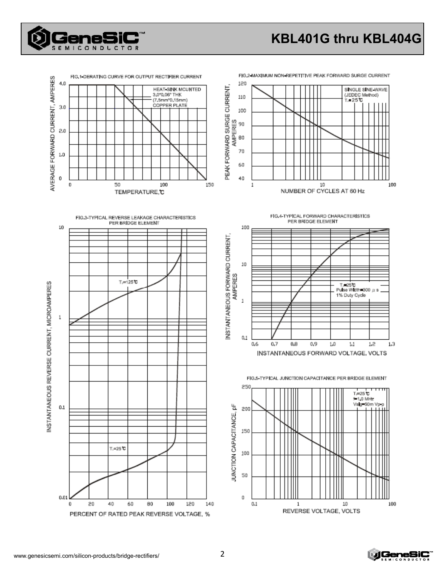

## **KBL401G thru KBL404G**